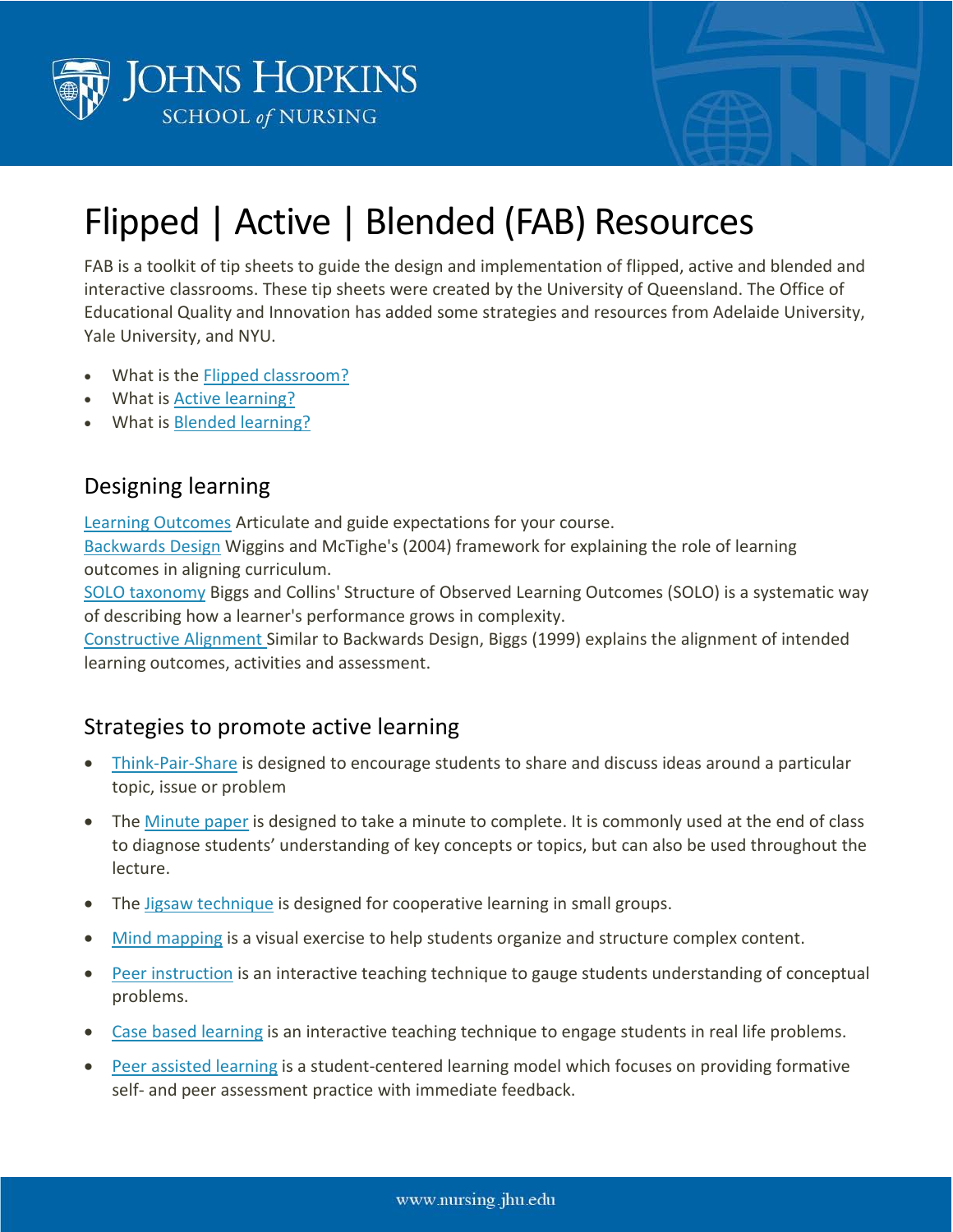



## Flipped | Active | Blended (FAB) Resources

FAB is a toolkit of tip sheets to guide the design and implementation of flipped, active and blended and interactive classrooms. These tip sheets were created by the University of Queensland. The Office of Educational Quality and Innovation has added some strategies and resources from Adelaide University, Yale University, and NYU.

- What is the **Flipped [classroom?](http://www.uq.edu.au/teach/flipped-classroom/docs/FAB/FlippedClassroom_Tipsheet.pdf)**
- What is **Active [learning?](http://www.uq.edu.au/teach/flipped-classroom/docs/FAB/Active%20Learning.pdf)**
- What is Blended [learning?](http://www.uq.edu.au/teach/flipped-classroom/docs/FAB/Blended%20Learning.pdf)

## Designing learning

Learning [Outcomes](http://www.uq.edu.au/teach/flipped-classroom/docs/FAB/Learning%20Outcomes_Tipsheet.pdf) Articulate and guide expectations for your course.

[Backwards](http://www.uq.edu.au/teach/flipped-classroom/docs/FAB/FABBackwardsDesign_Tipsheet.pdf) Design Wiggins and McTighe's (2004) framework for explaining the role of learning outcomes in aligning curriculum.

SOLO [taxonomy](http://www.uq.edu.au/teach/flipped-classroom/docs/FAB/FABSOLO%20TaxonomyTipsheet.pdf) Biggs and Collins' Structure of Observed Learning Outcomes (SOLO) is a systematic way of describing how a learner's performance grows in complexity.

[Constructive](http://www.uq.edu.au/teach/flipped-classroom/docs/FAB/Constructive%20Alignment%20FINAL.pdf) Alignment Similar to Backwards Design, Biggs (1999) explains the alignment of intended learning outcomes, activities and assessment.

## Strategies to promote active learning

- [Think-Pair-Share](http://www.uq.edu.au/teach/flipped-classroom/docs/FAB/FABThinkPairShareTipsheet.pdf) is designed to encourage students to share and discuss ideas around a particular topic, issue or problem
- The [Minute](http://www.uq.edu.au/teach/flipped-classroom/docs/FAB/FABMinutePaperTipsheet.pdf) paper is designed to take a minute to complete. It is commonly used at the end of class to diagnose students' understanding of key concepts or topics, but can also be used throughout the lecture.
- The Jigsaw [technique](http://www.uq.edu.au/teach/flipped-classroom/docs/FAB/FABJigsaw_Tipsheet.pdf) is designed for cooperative learning in small groups.
- Mind [mapping](http://www.uq.edu.au/teach/flipped-classroom/docs/FAB/FABMindmaps_Tipsheet.pdf) is a visual exercise to help students organize and structure complex content.
- Peer [instruction](http://www.uq.edu.au/teach/flipped-classroom/docs/FAB/FABPeerInstructionTipsheet.pdf) is an interactive teaching technique to gauge students understanding of conceptual problems.
- Case based [learning](http://www.uq.edu.au/teach/flipped-classroom/docs/FAB/Case%20Based%20Learning%20FINAL.pdf) is an interactive teaching technique to engage students in real life problems.
- Peer assisted [learning](http://www.uq.edu.au/teach/flipped-classroom/docs/FAB/Peer%20Assisted%20Learning%20FINAL.pdf) is a student-centered learning model which focuses on providing formative self- and peer assessment practice with immediate feedback.